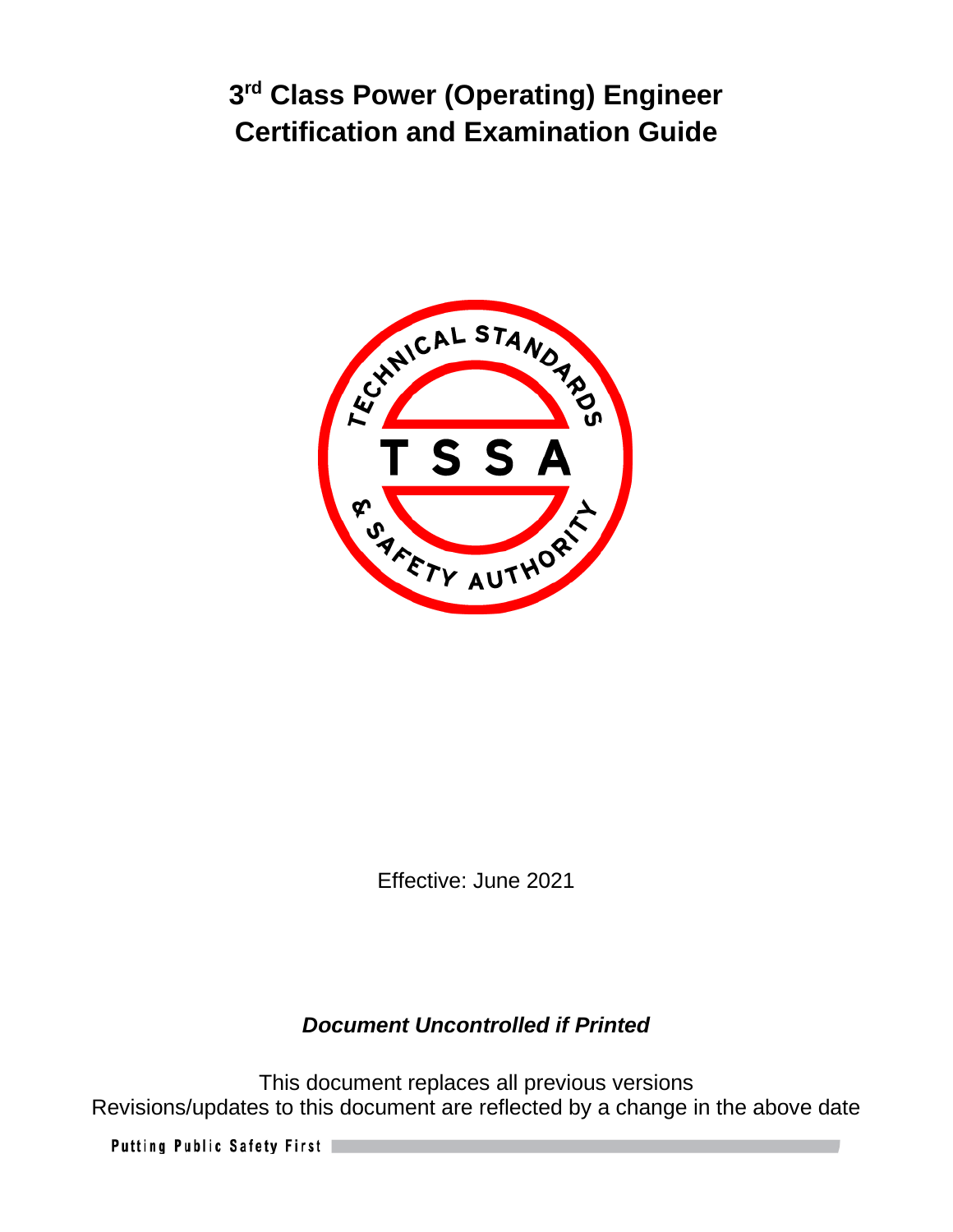

Effective: June 2021

# *Document Uncontrolled if Printed*

This document replaces all previous versions Revisions/updates to this document are reflected by a change in the above date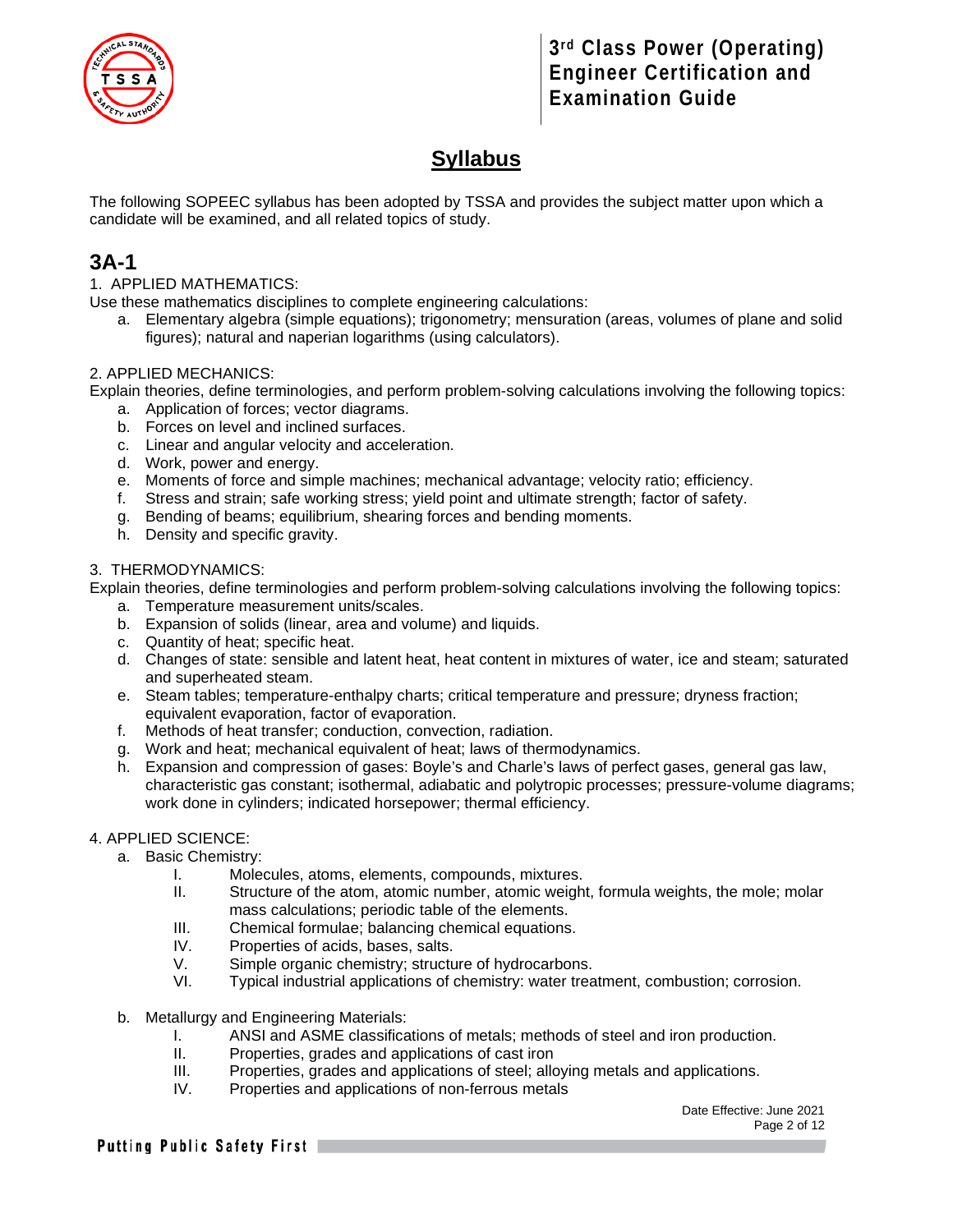

# **Syllabus**

The following SOPEEC syllabus has been adopted by TSSA and provides the subject matter upon which a candidate will be examined, and all related topics of study.

### **3A-1**

#### 1. APPLIED MATHEMATICS:

Use these mathematics disciplines to complete engineering calculations:

a. Elementary algebra (simple equations); trigonometry; mensuration (areas, volumes of plane and solid figures); natural and naperian logarithms (using calculators).

#### 2. APPLIED MECHANICS:

Explain theories, define terminologies, and perform problem-solving calculations involving the following topics:

- a. Application of forces; vector diagrams.
- b. Forces on level and inclined surfaces.
- c. Linear and angular velocity and acceleration.
- d. Work, power and energy.
- e. Moments of force and simple machines; mechanical advantage; velocity ratio; efficiency.
- f. Stress and strain; safe working stress; yield point and ultimate strength; factor of safety.
- g. Bending of beams; equilibrium, shearing forces and bending moments.
- h. Density and specific gravity.

#### 3. THERMODYNAMICS:

Explain theories, define terminologies and perform problem-solving calculations involving the following topics:

- a. Temperature measurement units/scales.
- b. Expansion of solids (linear, area and volume) and liquids.
- c. Quantity of heat; specific heat.
- d. Changes of state: sensible and latent heat, heat content in mixtures of water, ice and steam; saturated and superheated steam.
- e. Steam tables; temperature-enthalpy charts; critical temperature and pressure; dryness fraction; equivalent evaporation, factor of evaporation.
- f. Methods of heat transfer; conduction, convection, radiation.
- g. Work and heat; mechanical equivalent of heat; laws of thermodynamics.
- h. Expansion and compression of gases: Boyle's and Charle's laws of perfect gases, general gas law, characteristic gas constant; isothermal, adiabatic and polytropic processes; pressure-volume diagrams; work done in cylinders; indicated horsepower; thermal efficiency.

#### 4. APPLIED SCIENCE:

- a. Basic Chemistry:
	- I. Molecules, atoms, elements, compounds, mixtures.<br>II. Structure of the atom. atomic number. atomic weigh
	- Structure of the atom, atomic number, atomic weight, formula weights, the mole; molar mass calculations; periodic table of the elements.
	- III. Chemical formulae; balancing chemical equations.
	- IV. Properties of acids, bases, salts.
	- V. Simple organic chemistry; structure of hydrocarbons.
	- VI. Typical industrial applications of chemistry: water treatment, combustion; corrosion.
- b. Metallurgy and Engineering Materials:
	- I. ANSI and ASME classifications of metals; methods of steel and iron production.<br>II. Properties, grades and applications of cast iron
	- Properties, grades and applications of cast iron
	- III. Properties, grades and applications of steel; alloying metals and applications.<br>IV. Properties and applications of non-ferrous metals
	- Properties and applications of non-ferrous metals

Date Effective: June 2021 Page 2 of 12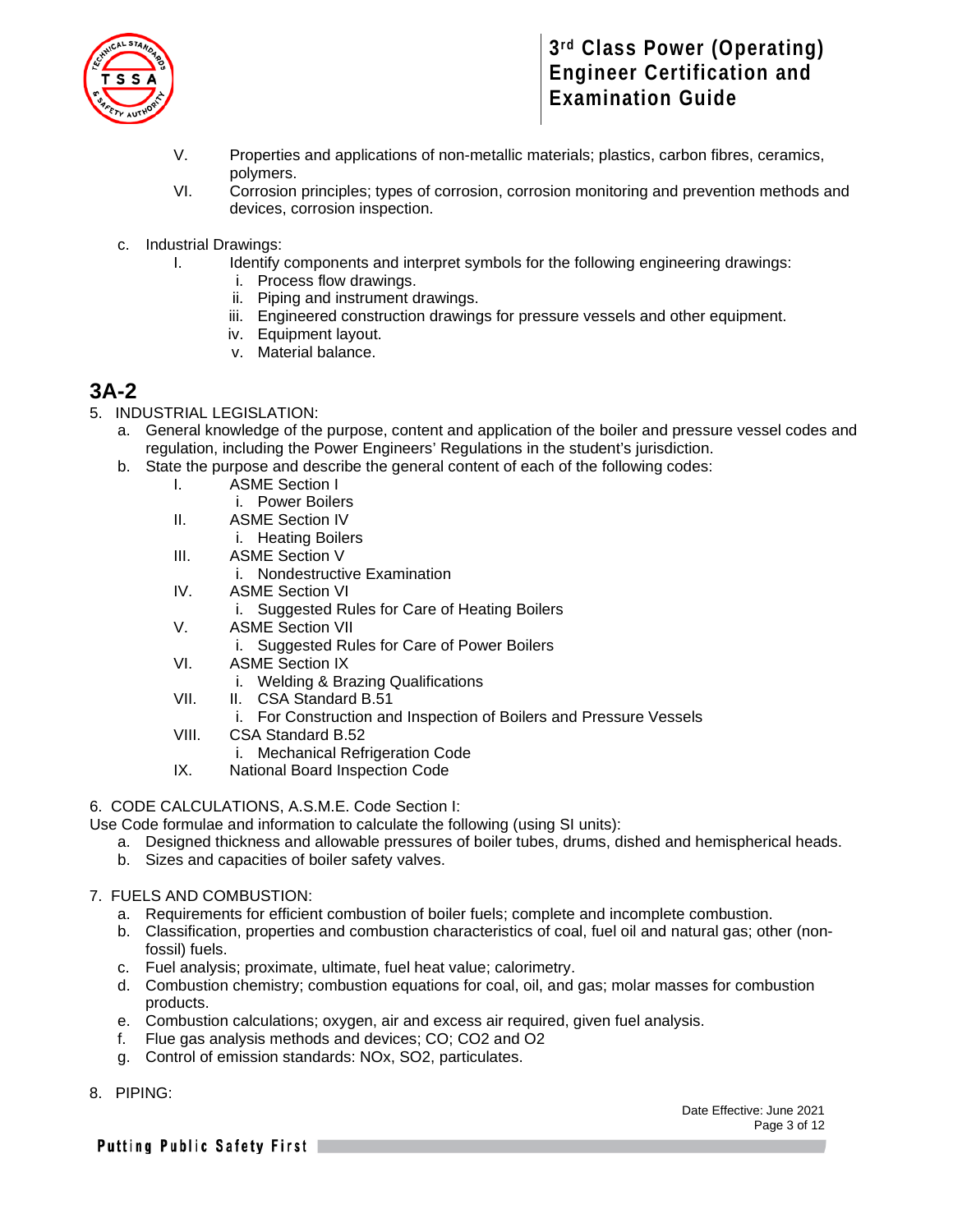

- V. Properties and applications of non-metallic materials; plastics, carbon fibres, ceramics, polymers.
- VI. Corrosion principles; types of corrosion, corrosion monitoring and prevention methods and devices, corrosion inspection.
- c. Industrial Drawings:
	- I. Identify components and interpret symbols for the following engineering drawings:
		- i. Process flow drawings.
		- ii. Piping and instrument drawings.
		- iii. Engineered construction drawings for pressure vessels and other equipment.
		- iv. Equipment layout.
		- v. Material balance.

### **3A-2**

- 5. INDUSTRIAL LEGISLATION:
	- a. General knowledge of the purpose, content and application of the boiler and pressure vessel codes and regulation, including the Power Engineers' Regulations in the student's jurisdiction.
	- b. State the purpose and describe the general content of each of the following codes:
		- I. ASME Section I
			- i. Power Boilers
		- II. ASME Section IV
		- i. Heating Boilers
		- III. ASME Section V
			- i. Nondestructive Examination
		- IV. ASME Section VI
			- i. Suggested Rules for Care of Heating Boilers
		- V. ASME Section VII
			- i. Suggested Rules for Care of Power Boilers
		- VI. ASME Section IX
			- i. Welding & Brazing Qualifications
		- VII. II. CSA Standard B.51
			- i. For Construction and Inspection of Boilers and Pressure Vessels
		- VIII. CSA Standard B.52
			- i. Mechanical Refrigeration Code
		- IX. National Board Inspection Code
- 6. CODE CALCULATIONS, A.S.M.E. Code Section I:

Use Code formulae and information to calculate the following (using SI units):

- a. Designed thickness and allowable pressures of boiler tubes, drums, dished and hemispherical heads.
- b. Sizes and capacities of boiler safety valves.

#### 7. FUELS AND COMBUSTION:

- a. Requirements for efficient combustion of boiler fuels; complete and incomplete combustion.
- b. Classification, properties and combustion characteristics of coal, fuel oil and natural gas; other (nonfossil) fuels.
- c. Fuel analysis; proximate, ultimate, fuel heat value; calorimetry.
- d. Combustion chemistry; combustion equations for coal, oil, and gas; molar masses for combustion products.
- e. Combustion calculations; oxygen, air and excess air required, given fuel analysis.
- f. Flue gas analysis methods and devices; CO; CO2 and O2
- g. Control of emission standards: NOx, SO2, particulates.

#### 8. PIPING:

Date Effective: June 2021 Page 3 of 12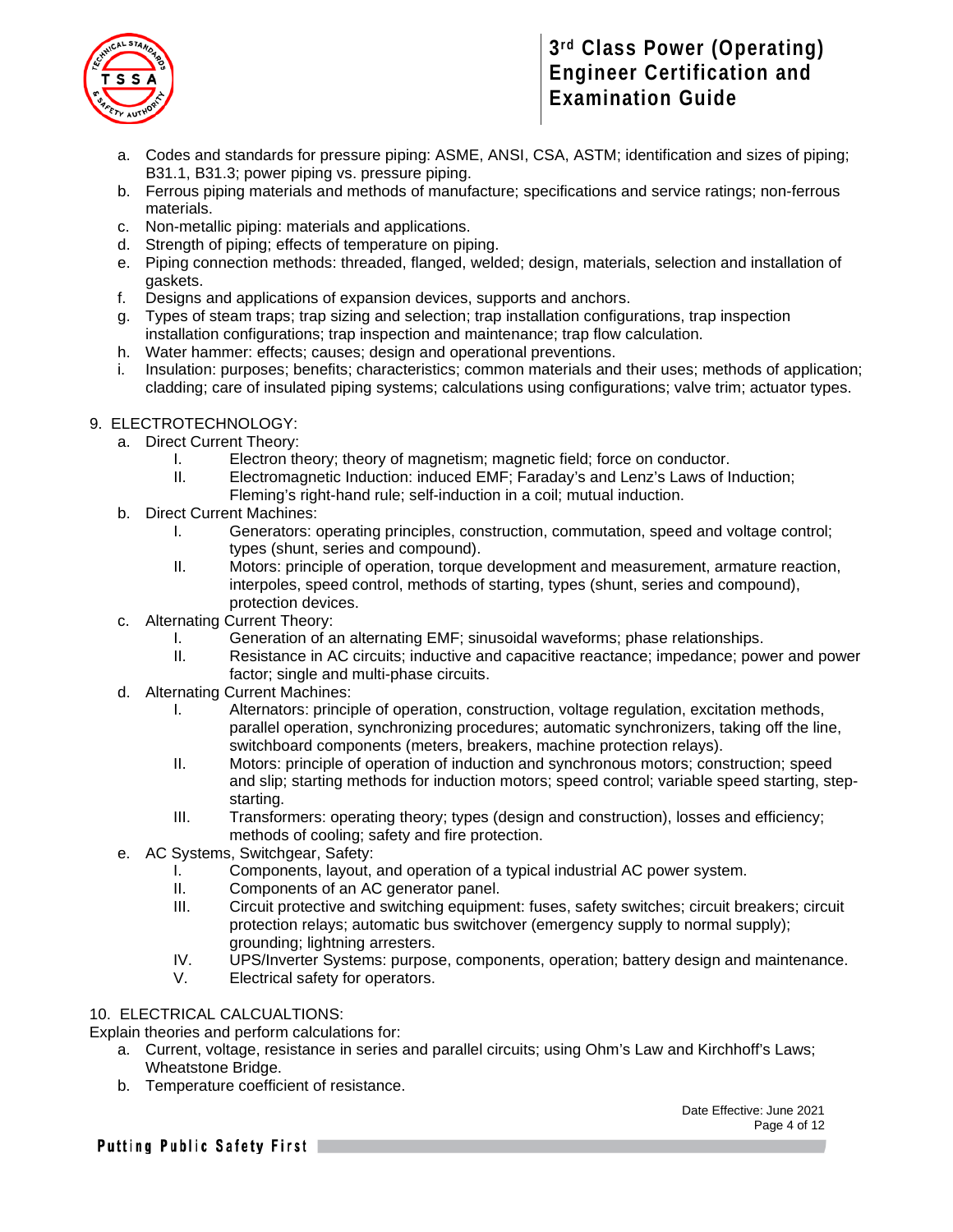

- a. Codes and standards for pressure piping: ASME, ANSI, CSA, ASTM; identification and sizes of piping; B31.1, B31.3; power piping vs. pressure piping.
- b. Ferrous piping materials and methods of manufacture; specifications and service ratings; non-ferrous materials.
- c. Non-metallic piping: materials and applications.
- d. Strength of piping; effects of temperature on piping.
- e. Piping connection methods: threaded, flanged, welded; design, materials, selection and installation of gaskets.
- f. Designs and applications of expansion devices, supports and anchors.
- g. Types of steam traps; trap sizing and selection; trap installation configurations, trap inspection installation configurations; trap inspection and maintenance; trap flow calculation.
- h. Water hammer: effects; causes; design and operational preventions.
- i. Insulation: purposes; benefits; characteristics; common materials and their uses; methods of application; cladding; care of insulated piping systems; calculations using configurations; valve trim; actuator types.

#### 9. ELECTROTECHNOLOGY:

- a. Direct Current Theory:
	- I. Electron theory; theory of magnetism; magnetic field; force on conductor.
	- II. Electromagnetic Induction: induced EMF; Faraday's and Lenz's Laws of Induction; Fleming's right-hand rule; self-induction in a coil; mutual induction.
- b. Direct Current Machines:
	- I. Generators: operating principles, construction, commutation, speed and voltage control; types (shunt, series and compound).
	- II. Motors: principle of operation, torque development and measurement, armature reaction, interpoles, speed control, methods of starting, types (shunt, series and compound), protection devices.
- c. Alternating Current Theory:
	- I. Generation of an alternating EMF; sinusoidal waveforms; phase relationships.
	- II. Resistance in AC circuits; inductive and capacitive reactance; impedance; power and power factor; single and multi-phase circuits.
- d. Alternating Current Machines:
	- I. Alternators: principle of operation, construction, voltage regulation, excitation methods, parallel operation, synchronizing procedures; automatic synchronizers, taking off the line, switchboard components (meters, breakers, machine protection relays).
	- II. Motors: principle of operation of induction and synchronous motors; construction; speed and slip; starting methods for induction motors; speed control; variable speed starting, stepstarting.
	- III. Transformers: operating theory; types (design and construction), losses and efficiency; methods of cooling; safety and fire protection.
- e. AC Systems, Switchgear, Safety:
	- I. Components, layout, and operation of a typical industrial AC power system.<br>II. Components of an AC generator panel.
	- Components of an AC generator panel.
	- III. Circuit protective and switching equipment: fuses, safety switches; circuit breakers; circuit protection relays; automatic bus switchover (emergency supply to normal supply); grounding; lightning arresters.
	- IV. UPS/Inverter Systems: purpose, components, operation; battery design and maintenance.
	- V. Electrical safety for operators.

#### 10. ELECTRICAL CALCUALTIONS:

Explain theories and perform calculations for:

- a. Current, voltage, resistance in series and parallel circuits; using Ohm's Law and Kirchhoff's Laws; Wheatstone Bridge.
- b. Temperature coefficient of resistance.

Date Effective: June 2021 Page 4 of 12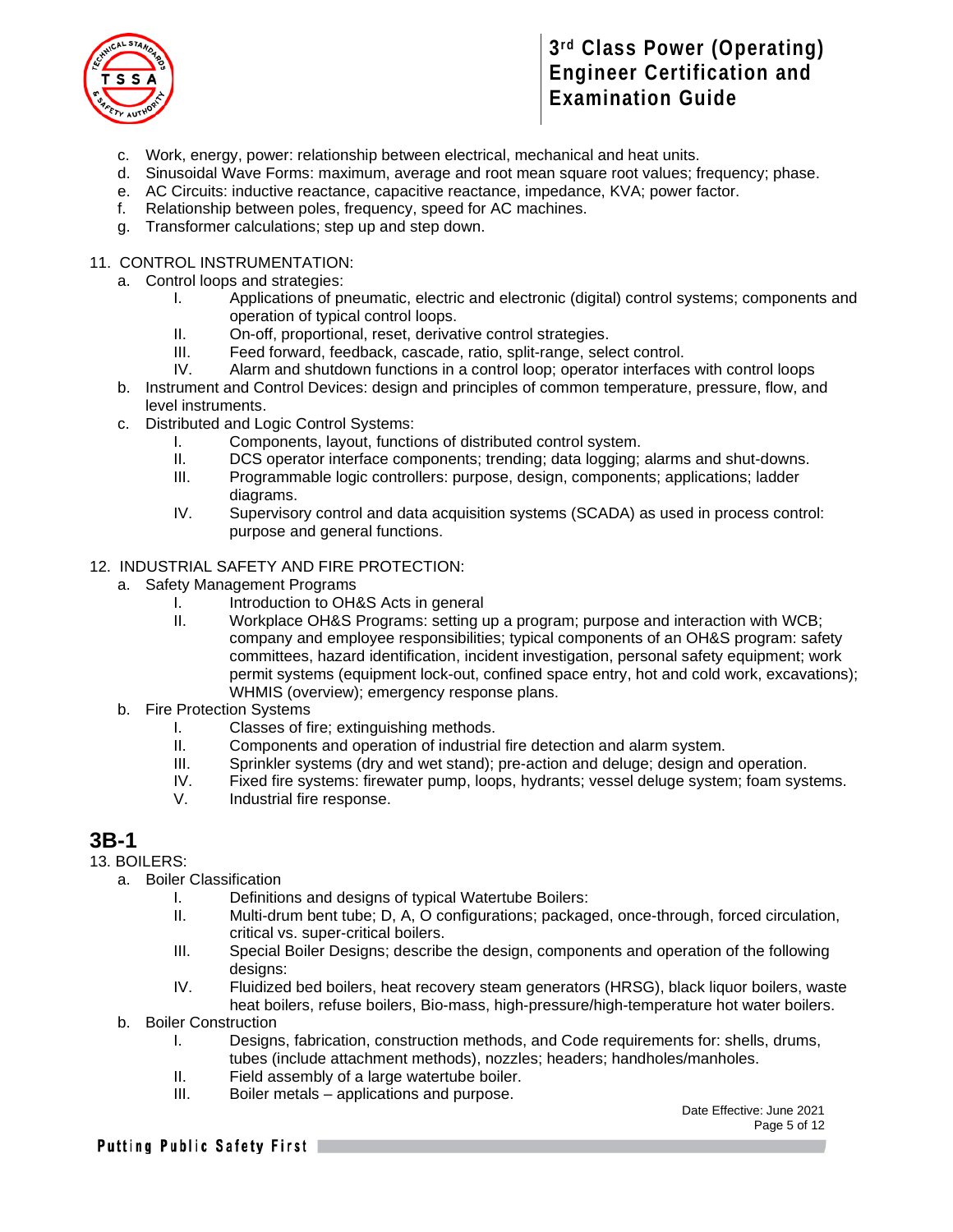

- c. Work, energy, power: relationship between electrical, mechanical and heat units.
- d. Sinusoidal Wave Forms: maximum, average and root mean square root values; frequency; phase.
- e. AC Circuits: inductive reactance, capacitive reactance, impedance, KVA; power factor.
- f. Relationship between poles, frequency, speed for AC machines.
- g. Transformer calculations; step up and step down.

#### 11. CONTROL INSTRUMENTATION:

- a. Control loops and strategies:
	- I. Applications of pneumatic, electric and electronic (digital) control systems; components and operation of typical control loops.
	- II. Ch-off, proportional, reset, derivative control strategies.<br>III. Feed forward, feedback, cascade, ratio, split-range, sel
	- III. Feed forward, feedback, cascade, ratio, split-range, select control.<br>IV. Alarm and shutdown functions in a control loop: operator interfaces
	- Alarm and shutdown functions in a control loop; operator interfaces with control loops
- b. Instrument and Control Devices: design and principles of common temperature, pressure, flow, and level instruments.
- c. Distributed and Logic Control Systems:
	- I. Components, layout, functions of distributed control system.
	- II. DCS operator interface components; trending; data logging; alarms and shut-downs.
	- III. Programmable logic controllers: purpose, design, components; applications; ladder diagrams.
	- IV. Supervisory control and data acquisition systems (SCADA) as used in process control: purpose and general functions.

#### 12. INDUSTRIAL SAFETY AND FIRE PROTECTION:

- a. Safety Management Programs
	- I. Introduction to OH&S Acts in general<br>II Workplace OH&S Programs: setting u
	- Workplace OH&S Programs: setting up a program; purpose and interaction with WCB; company and employee responsibilities; typical components of an OH&S program: safety committees, hazard identification, incident investigation, personal safety equipment; work permit systems (equipment lock-out, confined space entry, hot and cold work, excavations); WHMIS (overview); emergency response plans.
- b. Fire Protection Systems<br>I. Classes of fi
	- I. Classes of fire; extinguishing methods.<br>II. Components and operation of industria
	- II. Components and operation of industrial fire detection and alarm system.<br>III. Sprinkler systems (dry and wet stand): pre-action and deluge: design and
	- III. Sprinkler systems (dry and wet stand); pre-action and deluge; design and operation.<br>IV. Fixed fire systems: firewater pump. loops. hydrants: vessel deluge system: foam sys
	- Fixed fire systems: firewater pump, loops, hydrants; vessel deluge system; foam systems.
	- V. Industrial fire response.

### **3B-1**

13. BOILERS:

- a. Boiler Classification
	- I. Definitions and designs of typical Watertube Boilers:<br>II. Multi-drum bent tube: D. A. O configurations: packag
	- Multi-drum bent tube; D, A, O configurations; packaged, once-through, forced circulation, critical vs. super-critical boilers.
	- III. Special Boiler Designs; describe the design, components and operation of the following designs:
	- IV. Fluidized bed boilers, heat recovery steam generators (HRSG), black liquor boilers, waste heat boilers, refuse boilers, Bio-mass, high-pressure/high-temperature hot water boilers.
- b. Boiler Construction
	- I. Designs, fabrication, construction methods, and Code requirements for: shells, drums, tubes (include attachment methods), nozzles; headers; handholes/manholes.
	- II. Field assembly of a large watertube boiler.<br>III. Boiler metals applications and purpose.
	- Boiler metals applications and purpose.

Date Effective: June 2021 Page 5 of 12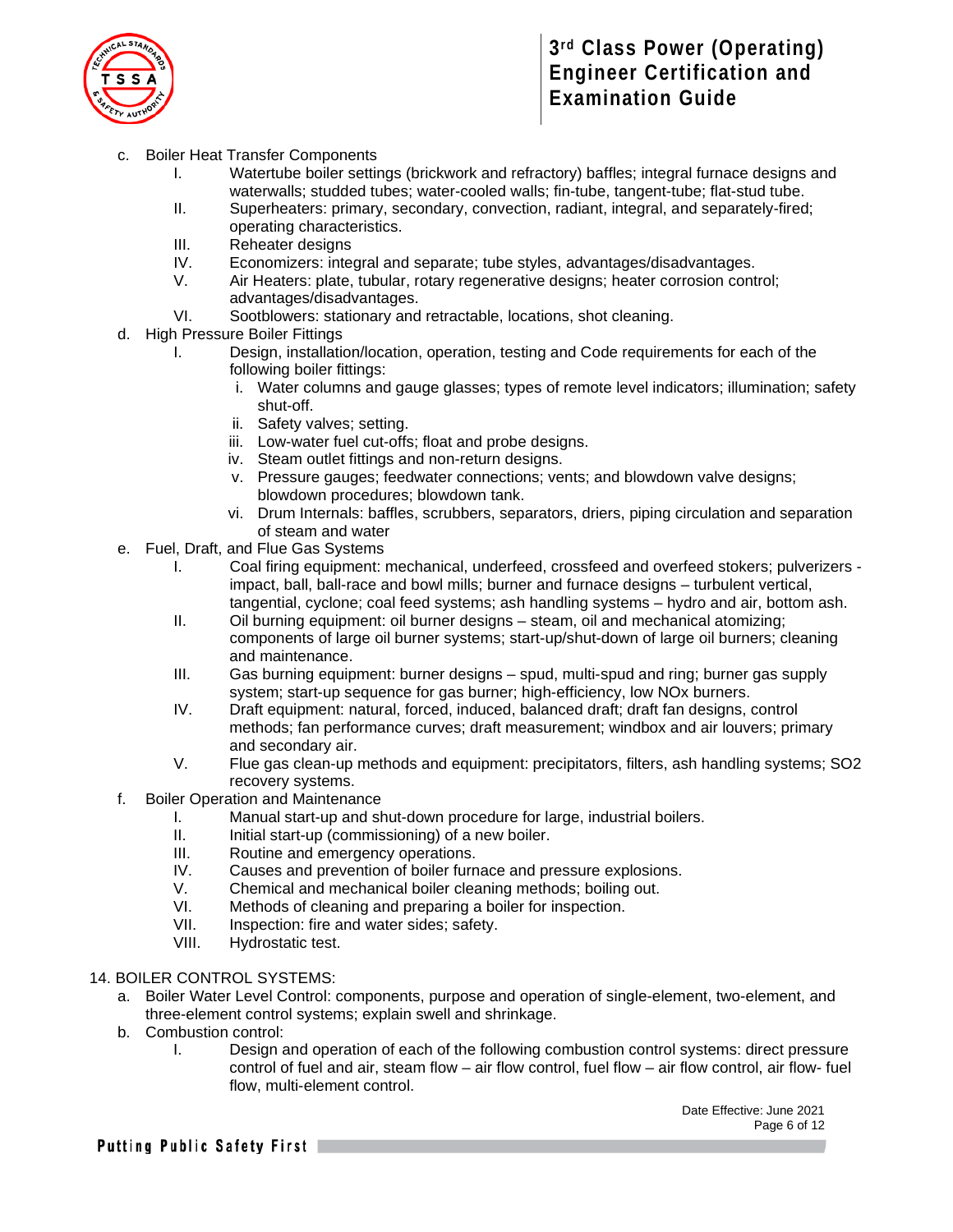

- c. Boiler Heat Transfer Components
	- I. Watertube boiler settings (brickwork and refractory) baffles; integral furnace designs and waterwalls; studded tubes; water-cooled walls; fin-tube, tangent-tube; flat-stud tube.
	- II. Superheaters: primary, secondary, convection, radiant, integral, and separately-fired; operating characteristics.
	- III. Reheater designs
	- IV. Economizers: integral and separate; tube styles, advantages/disadvantages.
	- V. Air Heaters: plate, tubular, rotary regenerative designs; heater corrosion control; advantages/disadvantages.
	- VI. Sootblowers: stationary and retractable, locations, shot cleaning.
- d. High Pressure Boiler Fittings
	- I. Design, installation/location, operation, testing and Code requirements for each of the following boiler fittings:
		- i. Water columns and gauge glasses; types of remote level indicators; illumination; safety shut-off.
		- ii. Safety valves; setting.
		- iii. Low-water fuel cut-offs; float and probe designs.
		- iv. Steam outlet fittings and non-return designs.
		- v. Pressure gauges; feedwater connections; vents; and blowdown valve designs; blowdown procedures; blowdown tank.
		- vi. Drum Internals: baffles, scrubbers, separators, driers, piping circulation and separation of steam and water
- e. Fuel, Draft, and Flue Gas Systems
	- I. Coal firing equipment: mechanical, underfeed, crossfeed and overfeed stokers; pulverizers impact, ball, ball-race and bowl mills; burner and furnace designs – turbulent vertical, tangential, cyclone; coal feed systems; ash handling systems – hydro and air, bottom ash.
	- II. Oil burning equipment: oil burner designs steam, oil and mechanical atomizing; components of large oil burner systems; start-up/shut-down of large oil burners; cleaning and maintenance.
	- III. Gas burning equipment: burner designs spud, multi-spud and ring; burner gas supply system; start-up sequence for gas burner; high-efficiency, low NO<sub>x</sub> burners.
	- IV. Draft equipment: natural, forced, induced, balanced draft; draft fan designs, control methods; fan performance curves; draft measurement; windbox and air louvers; primary and secondary air.
	- V. Flue gas clean-up methods and equipment: precipitators, filters, ash handling systems; SO2 recovery systems.
- f. Boiler Operation and Maintenance
	- I. Manual start-up and shut-down procedure for large, industrial boilers.
	- II. Initial start-up (commissioning) of a new boiler.
	- III. Routine and emergency operations.
	- IV. Causes and prevention of boiler furnace and pressure explosions.<br>V. Chemical and mechanical boiler cleaning methods: boiling out
	- Chemical and mechanical boiler cleaning methods; boiling out.
	- VI. Methods of cleaning and preparing a boiler for inspection.
	- VII. Inspection: fire and water sides; safety.<br>VIII. Hydrostatic test.
	- Hydrostatic test.
- 14. BOILER CONTROL SYSTEMS:
	- a. Boiler Water Level Control: components, purpose and operation of single-element, two-element, and three-element control systems; explain swell and shrinkage.
	- b. Combustion control:
		- I. Design and operation of each of the following combustion control systems: direct pressure control of fuel and air, steam flow – air flow control, fuel flow – air flow control, air flow- fuel flow, multi-element control.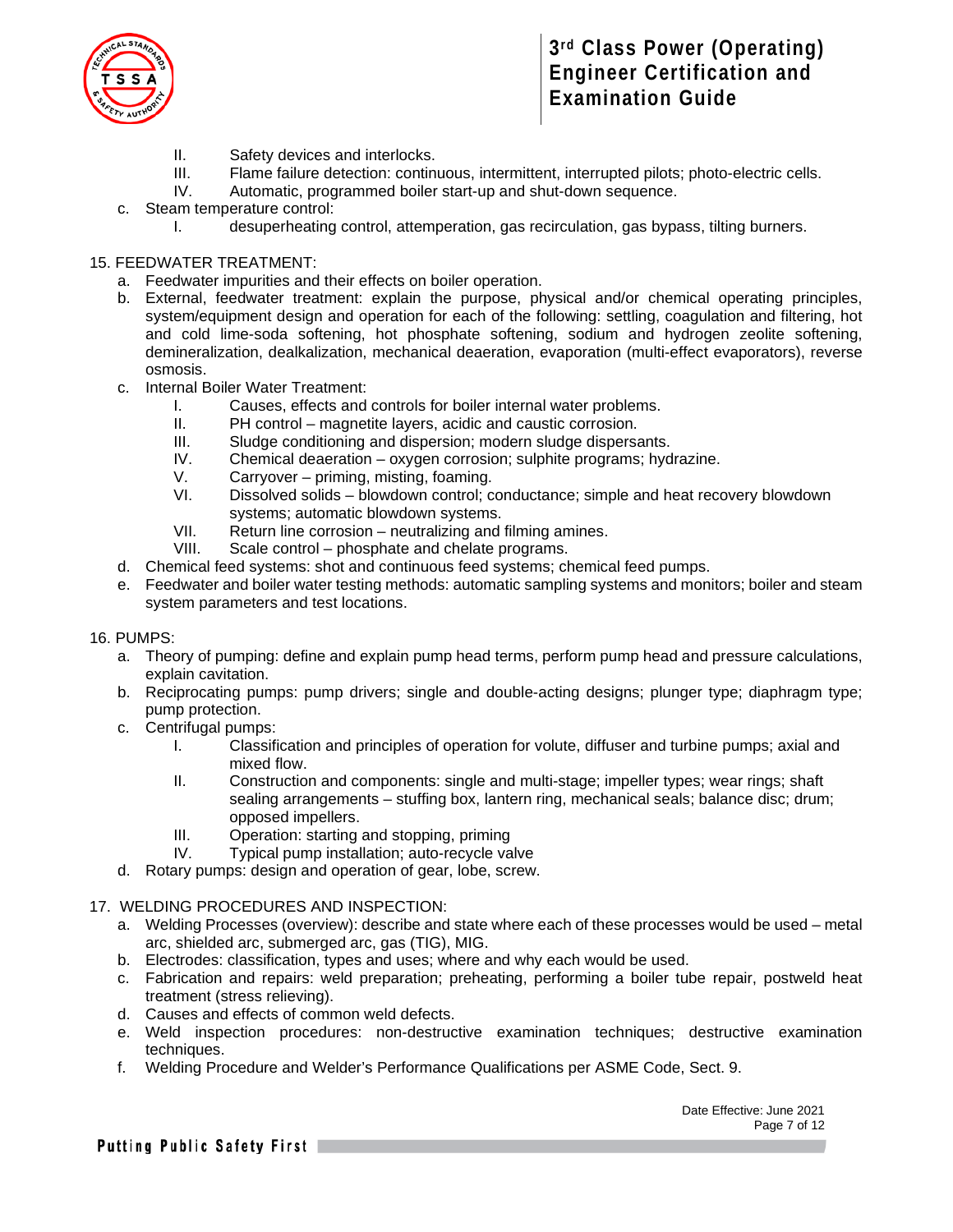

- II. Safety devices and interlocks.
- III. Flame failure detection: continuous, intermittent, interrupted pilots; photo-electric cells.<br>IV. Automatic, programmed boiler start-up and shut-down sequence
- Automatic, programmed boiler start-up and shut-down sequence.
- c. Steam temperature control:
	- I. desuperheating control, attemperation, gas recirculation, gas bypass, tilting burners.

#### 15. FEEDWATER TREATMENT:

- a. Feedwater impurities and their effects on boiler operation.
- b. External, feedwater treatment: explain the purpose, physical and/or chemical operating principles, system/equipment design and operation for each of the following: settling, coagulation and filtering, hot and cold lime-soda softening, hot phosphate softening, sodium and hydrogen zeolite softening, demineralization, dealkalization, mechanical deaeration, evaporation (multi-effect evaporators), reverse osmosis.
- c. Internal Boiler Water Treatment:
	- I. Causes, effects and controls for boiler internal water problems.
	- II. PH control magnetite layers, acidic and caustic corrosion.
	- III. Sludge conditioning and dispersion; modern sludge dispersants.<br>IV. Chemical deaeration oxygen corrosion: sulphite programs: hyd
	- Chemical deaeration oxygen corrosion; sulphite programs; hydrazine.
	- V. Carryover priming, misting, foaming.
	- VI. Dissolved solids blowdown control; conductance; simple and heat recovery blowdown systems; automatic blowdown systems.
	- VII. Return line corrosion neutralizing and filming amines.
	- VIII. Scale control phosphate and chelate programs.
- d. Chemical feed systems: shot and continuous feed systems; chemical feed pumps.
- e. Feedwater and boiler water testing methods: automatic sampling systems and monitors; boiler and steam system parameters and test locations.

#### 16. PUMPS:

- a. Theory of pumping: define and explain pump head terms, perform pump head and pressure calculations, explain cavitation.
- b. Reciprocating pumps: pump drivers; single and double-acting designs; plunger type; diaphragm type; pump protection.
- c. Centrifugal pumps:
	- I. Classification and principles of operation for volute, diffuser and turbine pumps; axial and mixed flow.
	- II. Construction and components: single and multi-stage; impeller types; wear rings; shaft sealing arrangements – stuffing box, lantern ring, mechanical seals; balance disc; drum; opposed impellers.
	- III. Operation: starting and stopping, priming
	- IV. Typical pump installation; auto-recycle valve
- d. Rotary pumps: design and operation of gear, lobe, screw.

#### 17. WELDING PROCEDURES AND INSPECTION:

- a. Welding Processes (overview): describe and state where each of these processes would be used metal arc, shielded arc, submerged arc, gas (TIG), MIG.
- b. Electrodes: classification, types and uses; where and why each would be used.
- c. Fabrication and repairs: weld preparation; preheating, performing a boiler tube repair, postweld heat treatment (stress relieving).
- d. Causes and effects of common weld defects.
- e. Weld inspection procedures: non-destructive examination techniques; destructive examination techniques.
- f. Welding Procedure and Welder's Performance Qualifications per ASME Code, Sect. 9.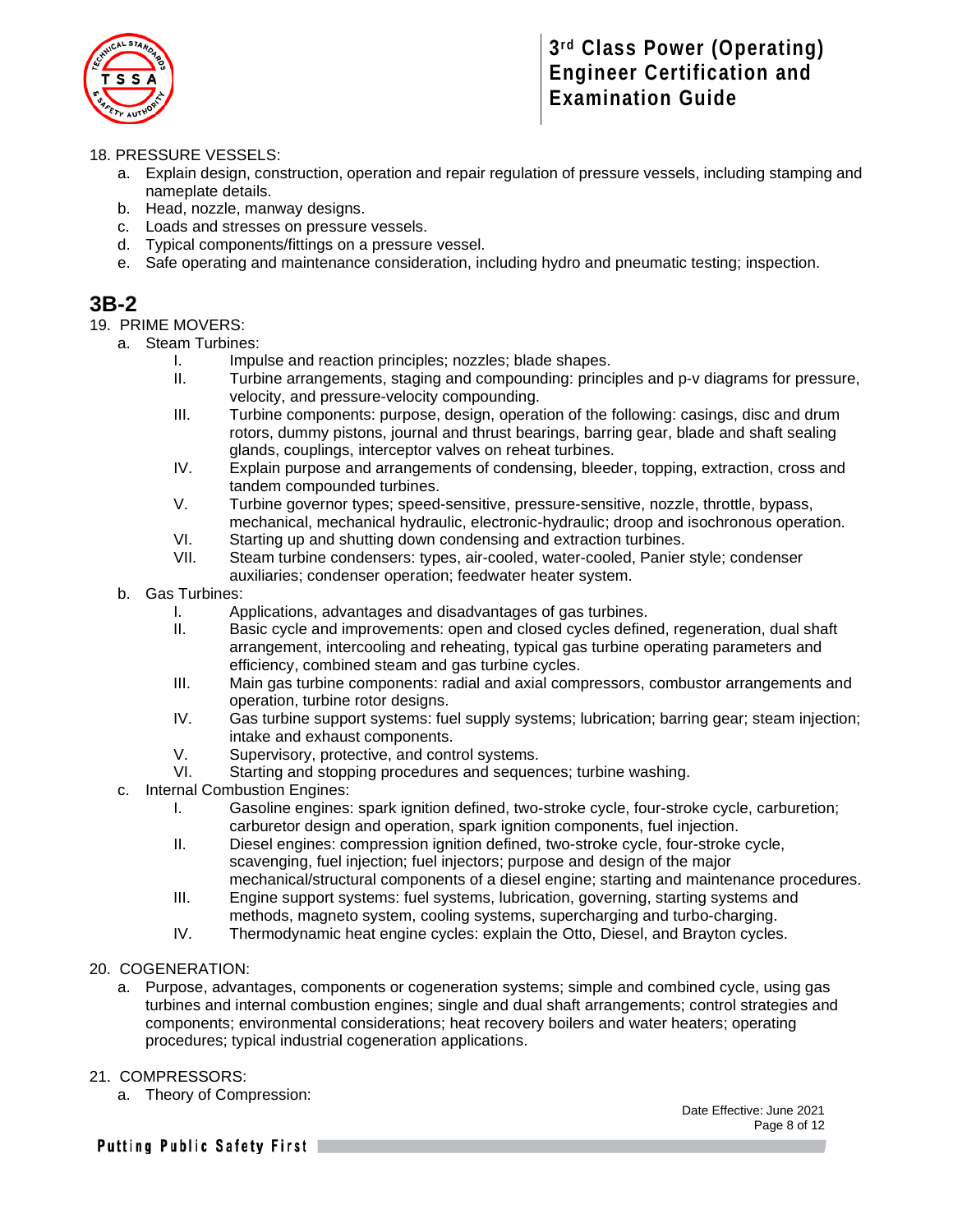

18. PRESSURE VESSELS:

- a. Explain design, construction, operation and repair regulation of pressure vessels, including stamping and nameplate details.
- b. Head, nozzle, manway designs.
- c. Loads and stresses on pressure vessels.
- d. Typical components/fittings on a pressure vessel.
- e. Safe operating and maintenance consideration, including hydro and pneumatic testing; inspection.

### **3B-2**

19. PRIME MOVERS:

- a. Steam Turbines:
	- I. Impulse and reaction principles; nozzles; blade shapes.<br>II. Turbine arrangements, staging and compounding: princ
	- Turbine arrangements, staging and compounding: principles and p-v diagrams for pressure, velocity, and pressure-velocity compounding.
	- III. Turbine components: purpose, design, operation of the following: casings, disc and drum rotors, dummy pistons, journal and thrust bearings, barring gear, blade and shaft sealing glands, couplings, interceptor valves on reheat turbines.
	- IV. Explain purpose and arrangements of condensing, bleeder, topping, extraction, cross and tandem compounded turbines.
	- V. Turbine governor types; speed-sensitive, pressure-sensitive, nozzle, throttle, bypass, mechanical, mechanical hydraulic, electronic-hydraulic; droop and isochronous operation.
	- VI. Starting up and shutting down condensing and extraction turbines.
	- VII. Steam turbine condensers: types, air-cooled, water-cooled, Panier style; condenser auxiliaries; condenser operation; feedwater heater system.
	- b. Gas Turbines:
		- I. Applications, advantages and disadvantages of gas turbines.
		- II. Basic cycle and improvements: open and closed cycles defined, regeneration, dual shaft arrangement, intercooling and reheating, typical gas turbine operating parameters and efficiency, combined steam and gas turbine cycles.
		- III. Main gas turbine components: radial and axial compressors, combustor arrangements and operation, turbine rotor designs.
		- IV. Gas turbine support systems: fuel supply systems; lubrication; barring gear; steam injection; intake and exhaust components.
		- V. Supervisory, protective, and control systems.
		- VI. Starting and stopping procedures and sequences; turbine washing.
	- c. Internal Combustion Engines:
		- I. Gasoline engines: spark ignition defined, two-stroke cycle, four-stroke cycle, carburetion; carburetor design and operation, spark ignition components, fuel injection.
		- II. Diesel engines: compression ignition defined, two-stroke cycle, four-stroke cycle, scavenging, fuel injection; fuel injectors; purpose and design of the major mechanical/structural components of a diesel engine; starting and maintenance procedures.
		- III. Engine support systems: fuel systems, lubrication, governing, starting systems and
		- methods, magneto system, cooling systems, supercharging and turbo-charging. IV. Thermodynamic heat engine cycles: explain the Otto, Diesel, and Brayton cycles.
- 20. COGENERATION:
	- a. Purpose, advantages, components or cogeneration systems; simple and combined cycle, using gas turbines and internal combustion engines; single and dual shaft arrangements; control strategies and components; environmental considerations; heat recovery boilers and water heaters; operating procedures; typical industrial cogeneration applications.

#### 21. COMPRESSORS:

a. Theory of Compression:

Date Effective: June 2021 Page 8 of 12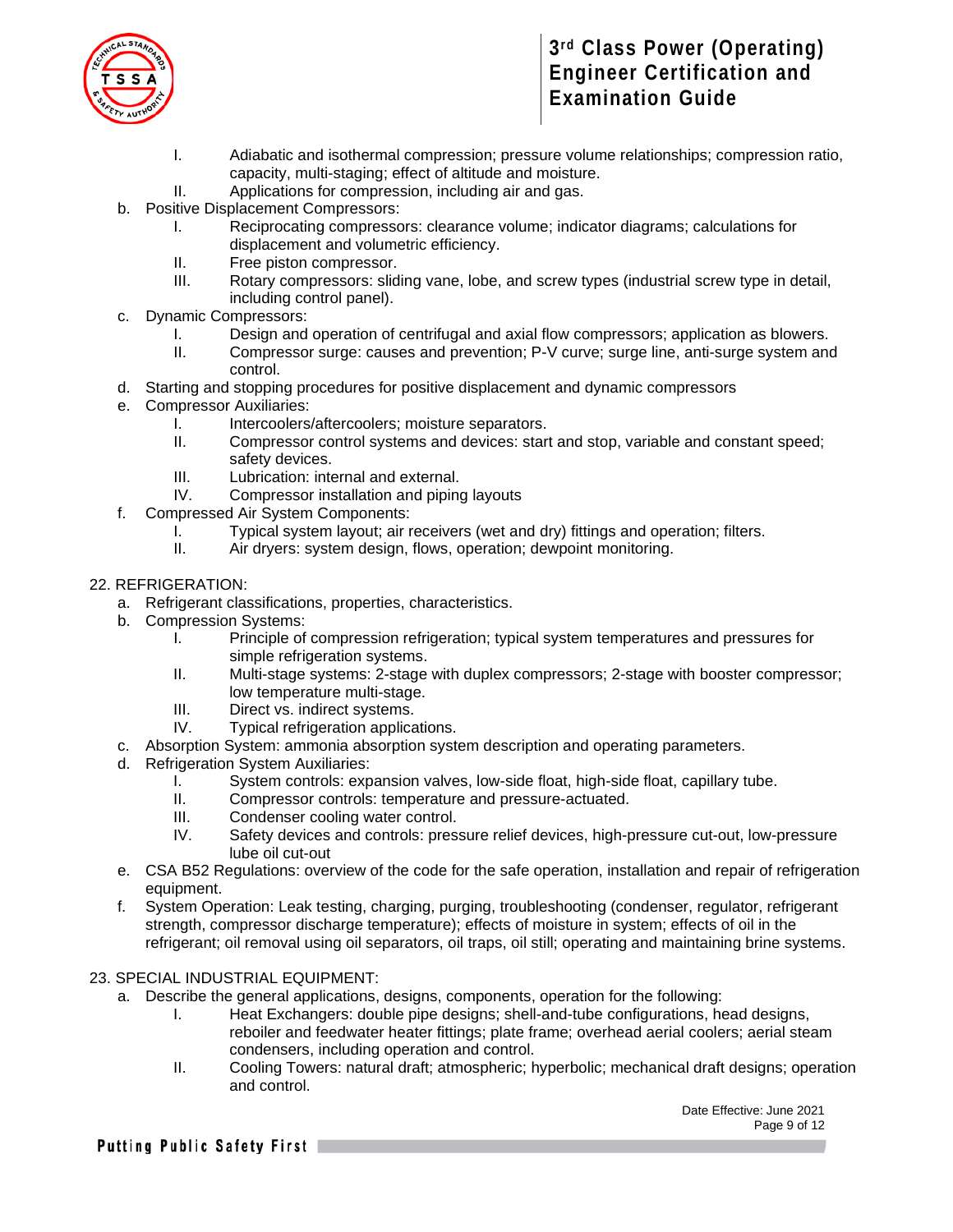

- I. Adiabatic and isothermal compression; pressure volume relationships; compression ratio, capacity, multi-staging; effect of altitude and moisture.
- II. Applications for compression, including air and gas.
- b. Positive Displacement Compressors:
	- I. Reciprocating compressors: clearance volume; indicator diagrams; calculations for displacement and volumetric efficiency.
	- II. Free piston compressor.
	- III. Rotary compressors: sliding vane, lobe, and screw types (industrial screw type in detail, including control panel).
- c. Dynamic Compressors:
	- I. Design and operation of centrifugal and axial flow compressors; application as blowers.<br>II. Compressor surge: causes and prevention: P-V curve: surge line, anti-surge system and
	- Compressor surge: causes and prevention; P-V curve; surge line, anti-surge system and control.
- d. Starting and stopping procedures for positive displacement and dynamic compressors
- e. Compressor Auxiliaries:
	- I. Intercoolers/aftercoolers; moisture separators.
	- II. Compressor control systems and devices: start and stop, variable and constant speed; safety devices.
	- III. Lubrication: internal and external.
	- IV. Compressor installation and piping layouts
- f. Compressed Air System Components:
	- I. Typical system layout; air receivers (wet and dry) fittings and operation; filters.
	- II. Air dryers: system design, flows, operation; dewpoint monitoring.
- 22. REFRIGERATION:
	- a. Refrigerant classifications, properties, characteristics.
	- b. Compression Systems:
		- I. Principle of compression refrigeration; typical system temperatures and pressures for simple refrigeration systems.
		- II. Multi-stage systems: 2-stage with duplex compressors; 2-stage with booster compressor; low temperature multi-stage.
		- III. Direct vs. indirect systems.<br>IV. Typical refrigeration applica
		- Typical refrigeration applications.
	- c. Absorption System: ammonia absorption system description and operating parameters.
	- d. Refrigeration System Auxiliaries:
		- I. System controls: expansion valves, low-side float, high-side float, capillary tube.
		- II. Compressor controls: temperature and pressure-actuated.
		- III. Condenser cooling water control.
		- IV. Safety devices and controls: pressure relief devices, high-pressure cut-out, low-pressure lube oil cut-out
	- e. CSA B52 Regulations: overview of the code for the safe operation, installation and repair of refrigeration equipment.
	- f. System Operation: Leak testing, charging, purging, troubleshooting (condenser, regulator, refrigerant strength, compressor discharge temperature); effects of moisture in system; effects of oil in the refrigerant; oil removal using oil separators, oil traps, oil still; operating and maintaining brine systems.

#### 23. SPECIAL INDUSTRIAL EQUIPMENT:

- a. Describe the general applications, designs, components, operation for the following:
	- I. Heat Exchangers: double pipe designs; shell-and-tube configurations, head designs, reboiler and feedwater heater fittings; plate frame; overhead aerial coolers; aerial steam condensers, including operation and control.
	- II. Cooling Towers: natural draft; atmospheric; hyperbolic; mechanical draft designs; operation and control.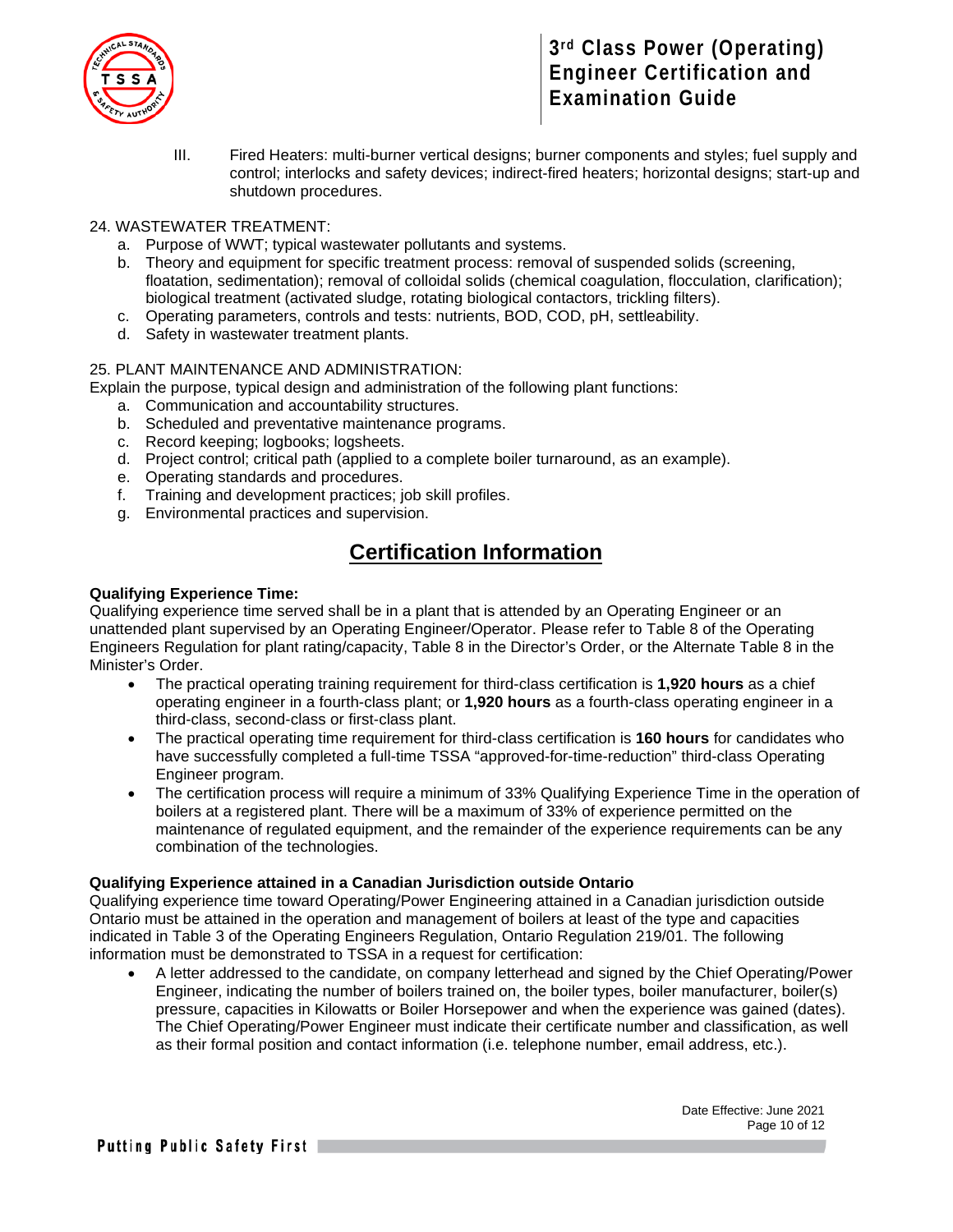

III. Fired Heaters: multi-burner vertical designs; burner components and styles; fuel supply and control; interlocks and safety devices; indirect-fired heaters; horizontal designs; start-up and shutdown procedures.

#### 24. WASTEWATER TREATMENT:

- a. Purpose of WWT; typical wastewater pollutants and systems.
- b. Theory and equipment for specific treatment process: removal of suspended solids (screening, floatation, sedimentation); removal of colloidal solids (chemical coagulation, flocculation, clarification); biological treatment (activated sludge, rotating biological contactors, trickling filters).
- c. Operating parameters, controls and tests: nutrients, BOD, COD, pH, settleability.
- d. Safety in wastewater treatment plants.

#### 25. PLANT MAINTENANCE AND ADMINISTRATION:

Explain the purpose, typical design and administration of the following plant functions:

- a. Communication and accountability structures.
- b. Scheduled and preventative maintenance programs.
- c. Record keeping; logbooks; logsheets.
- d. Project control; critical path (applied to a complete boiler turnaround, as an example).
- e. Operating standards and procedures.
- f. Training and development practices; job skill profiles.
- g. Environmental practices and supervision.

### **Certification Information**

#### **Qualifying Experience Time:**

Qualifying experience time served shall be in a plant that is attended by an Operating Engineer or an unattended plant supervised by an Operating Engineer/Operator. Please refer to Table 8 of the Operating Engineers Regulation for plant rating/capacity, Table 8 in the Director's Order, or the Alternate Table 8 in the Minister's Order.

- The practical operating training requirement for third-class certification is **1,920 hours** as a chief operating engineer in a fourth-class plant; or **1,920 hours** as a fourth-class operating engineer in a third-class, second-class or first-class plant.
- The practical operating time requirement for third-class certification is **160 hours** for candidates who have successfully completed a full-time TSSA "approved-for-time-reduction" third-class Operating Engineer program.
- The certification process will require a minimum of 33% Qualifying Experience Time in the operation of boilers at a registered plant. There will be a maximum of 33% of experience permitted on the maintenance of regulated equipment, and the remainder of the experience requirements can be any combination of the technologies.

#### **Qualifying Experience attained in a Canadian Jurisdiction outside Ontario**

Qualifying experience time toward Operating/Power Engineering attained in a Canadian jurisdiction outside Ontario must be attained in the operation and management of boilers at least of the type and capacities indicated in Table 3 of the Operating Engineers Regulation, Ontario Regulation 219/01. The following information must be demonstrated to TSSA in a request for certification:

• A letter addressed to the candidate, on company letterhead and signed by the Chief Operating/Power Engineer, indicating the number of boilers trained on, the boiler types, boiler manufacturer, boiler(s) pressure, capacities in Kilowatts or Boiler Horsepower and when the experience was gained (dates). The Chief Operating/Power Engineer must indicate their certificate number and classification, as well as their formal position and contact information (i.e. telephone number, email address, etc.).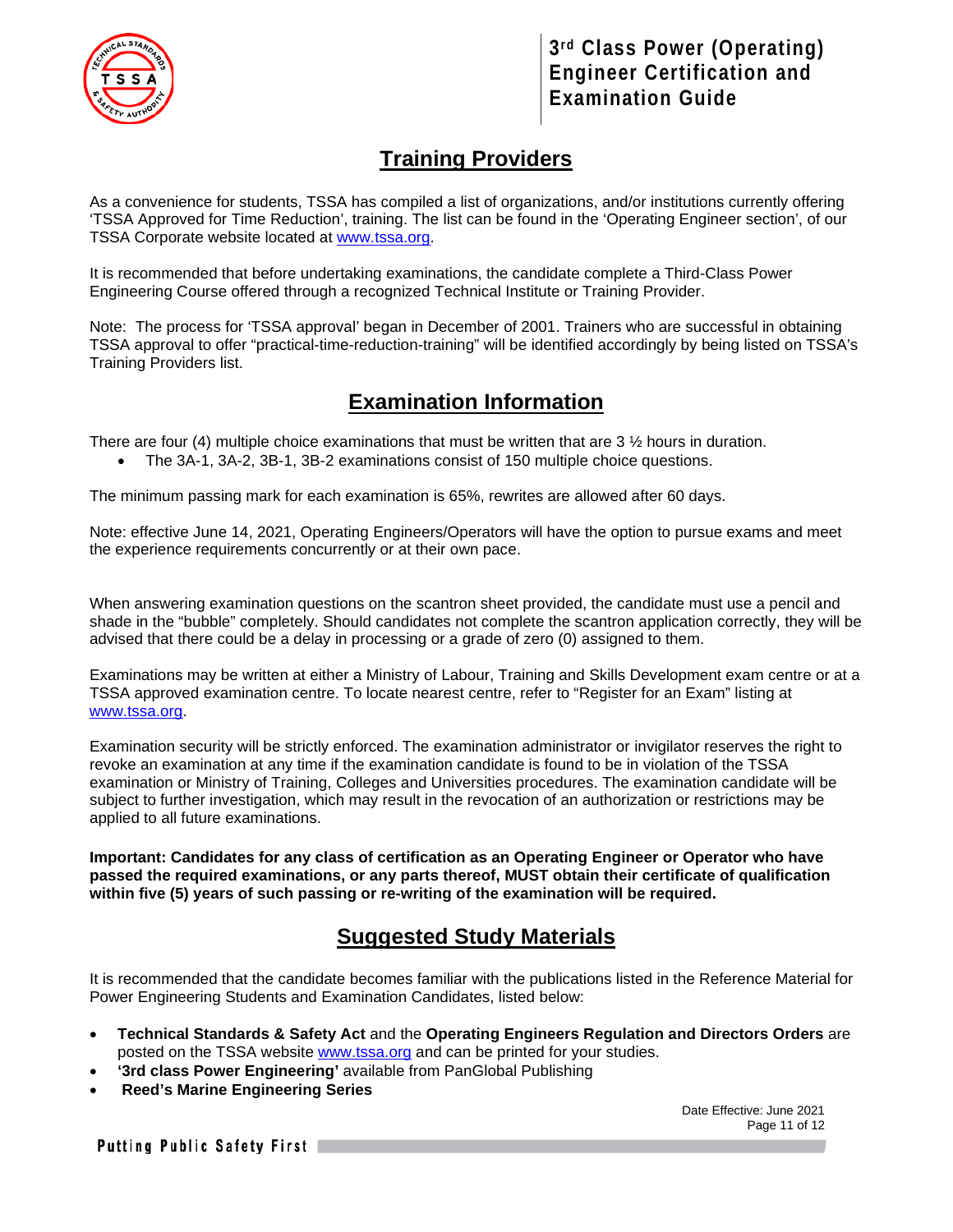

# **Training Providers**

As a convenience for students, TSSA has compiled a list of organizations, and/or institutions currently offering 'TSSA Approved for Time Reduction', training. The list can be found in the 'Operating Engineer section', of our TSSA Corporate website located at [www.tssa.org.](http://www.tssa.org/)

It is recommended that before undertaking examinations, the candidate complete a Third-Class Power Engineering Course offered through a recognized Technical Institute or Training Provider.

Note: The process for 'TSSA approval' began in December of 2001. Trainers who are successful in obtaining TSSA approval to offer "practical-time-reduction-training" will be identified accordingly by being listed on TSSA's Training Providers list.

### **Examination Information**

There are four (4) multiple choice examinations that must be written that are  $3\frac{1}{2}$  hours in duration.

• The 3A-1, 3A-2, 3B-1, 3B-2 examinations consist of 150 multiple choice questions.

The minimum passing mark for each examination is 65%, rewrites are allowed after 60 days.

Note: effective June 14, 2021, Operating Engineers/Operators will have the option to pursue exams and meet the experience requirements concurrently or at their own pace.

When answering examination questions on the scantron sheet provided, the candidate must use a pencil and shade in the "bubble" completely. Should candidates not complete the scantron application correctly, they will be advised that there could be a delay in processing or a grade of zero (0) assigned to them.

Examinations may be written at either a Ministry of Labour, Training and Skills Development exam centre or at a TSSA approved examination centre. To locate nearest centre, refer to "Register for an Exam" listing at [www.tssa.org.](http://www.tssa.org/)

Examination security will be strictly enforced. The examination administrator or invigilator reserves the right to revoke an examination at any time if the examination candidate is found to be in violation of the TSSA examination or Ministry of Training, Colleges and Universities procedures. The examination candidate will be subject to further investigation, which may result in the revocation of an authorization or restrictions may be applied to all future examinations.

**Important: Candidates for any class of certification as an Operating Engineer or Operator who have passed the required examinations, or any parts thereof, MUST obtain their certificate of qualification within five (5) years of such passing or re-writing of the examination will be required.** 

### **Suggested Study Materials**

It is recommended that the candidate becomes familiar with the publications listed in the Reference Material for Power Engineering Students and Examination Candidates, listed below:

- **Technical Standards & Safety Act** and the **Operating Engineers Regulation and Directors Orders** are posted on the TSSA website [www.tssa.org](http://www.tssa.org/) and can be printed for your studies.
- **'3rd class Power Engineering'** available from PanGlobal Publishing
- **Reed's Marine Engineering Series**

Date Effective: June 2021 Page 11 of 12